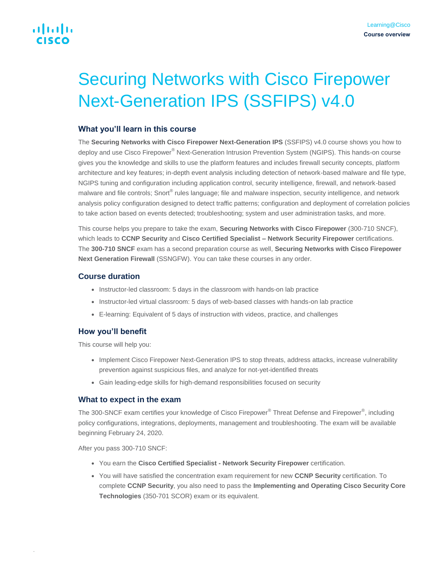# alnda CISCO

# Securing Networks with Cisco Firepower Next-Generation IPS (SSFIPS) v4.0

## **What you'll learn in this course**

The **Securing Networks with Cisco Firepower Next-Generation IPS** (SSFIPS) v4.0 course shows you how to deploy and use Cisco Firepower<sup>®</sup> Next-Generation Intrusion Prevention System (NGIPS). This hands-on course gives you the knowledge and skills to use the platform features and includes firewall security concepts, platform architecture and key features; in-depth event analysis including detection of network-based malware and file type, NGIPS tuning and configuration including application control, security intelligence, firewall, and network-based malware and file controls; Snort® rules language; file and malware inspection, security intelligence, and network analysis policy configuration designed to detect traffic patterns; configuration and deployment of correlation policies to take action based on events detected; troubleshooting; system and user administration tasks, and more.

This course helps you prepare to take the exam, **Securing Networks with Cisco Firepower** (300-710 SNCF), which leads to **CCNP Security** and **Cisco Certified Specialist – Network Security Firepower** certifications. The **300-710 SNCF** exam has a second preparation course as well, **Securing Networks with Cisco Firepower Next Generation Firewall** (SSNGFW). You can take these courses in any order.

## **Course duration**

- Instructor-led classroom: 5 days in the classroom with hands-on lab practice
- Instructor-led virtual classroom: 5 days of web-based classes with hands-on lab practice
- E-learning: Equivalent of 5 days of instruction with videos, practice, and challenges

# **How you'll benefit**

This course will help you:

- Implement Cisco Firepower Next-Generation IPS to stop threats, address attacks, increase vulnerability prevention against suspicious files, and analyze for not-yet-identified threats
- Gain leading-edge skills for high-demand responsibilities focused on security

# **What to expect in the exam**

The 300-SNCF exam certifies your knowledge of Cisco Firepower® Threat Defense and Firepower®, including policy configurations, integrations, deployments, management and troubleshooting. The exam will be available beginning February 24, 2020.

After you pass 300-710 SNCF:

.

- You earn the **Cisco Certified Specialist - Network Security Firepower** certification.
- You will have satisfied the concentration exam requirement for new **CCNP Security** certification. To complete **CCNP Security**, you also need to pass the **Implementing and Operating Cisco Security Core Technologies** (350-701 SCOR) exam or its equivalent.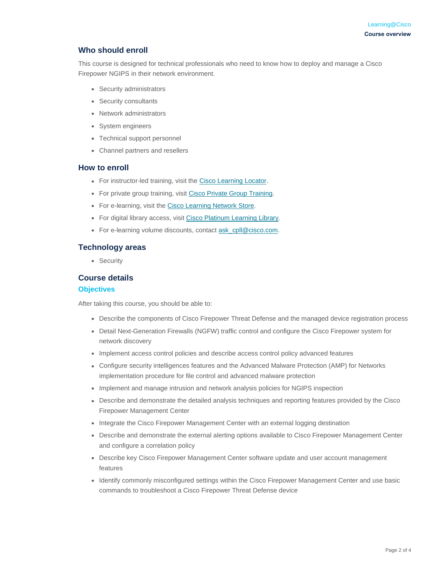# **Who should enroll**

This course is designed for technical professionals who need to know how to deploy and manage a Cisco Firepower NGIPS in their network environment.

- Security administrators
- Security consultants
- Network administrators
- System engineers
- Technical support personnel
- Channel partners and resellers

#### **How to enroll**

- For instructor-led training, visit the [Cisco Learning Locator.](https://learninglocator.cloudapps.cisco.com/courseDetails.do?actionType=executeCourseDetail&courseID=8678)
- For private group training, visit [Cisco Private Group Training.](https://www.cisco.com/c/en/us/training-events/resources/training-services/technology/private-group-training.html)
- For e-learning, visit the [Cisco Learning Network Store.](https://learningnetworkstore.cisco.com/on-demand-e-learning/securing-networks-with-cisco-firepower-next-generation-ips-ssfips-v4-0-elt-ssfips-v4-023385)
- For digital library access, visit [Cisco Platinum Learning Library.](https://digital-learning.cisco.com/#/)
- For e-learning volume discounts, contact [ask\\_cpll@cisco.com.](mailto:ask_cpll@cisco.com)

#### **Technology areas**

• Security

#### **Course details**

#### **Objectives**

After taking this course, you should be able to:

- Describe the components of Cisco Firepower Threat Defense and the managed device registration process
- Detail Next-Generation Firewalls (NGFW) traffic control and configure the Cisco Firepower system for network discovery
- Implement access control policies and describe access control policy advanced features
- Configure security intelligences features and the Advanced Malware Protection (AMP) for Networks implementation procedure for file control and advanced malware protection
- Implement and manage intrusion and network analysis policies for NGIPS inspection
- Describe and demonstrate the detailed analysis techniques and reporting features provided by the Cisco Firepower Management Center
- Integrate the Cisco Firepower Management Center with an external logging destination
- Describe and demonstrate the external alerting options available to Cisco Firepower Management Center and configure a correlation policy
- Describe key Cisco Firepower Management Center software update and user account management features
- Identify commonly misconfigured settings within the Cisco Firepower Management Center and use basic commands to troubleshoot a Cisco Firepower Threat Defense device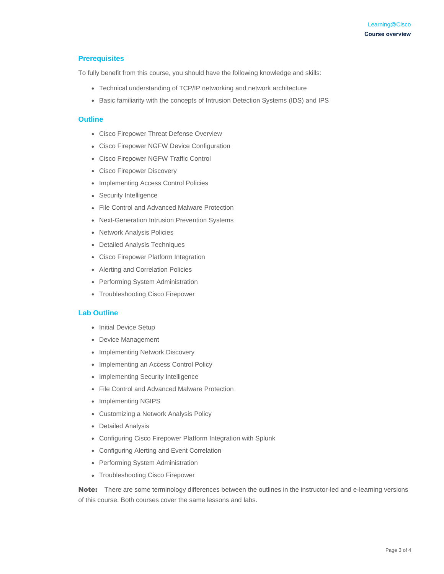#### **Prerequisites**

To fully benefit from this course, you should have the following knowledge and skills:

- Technical understanding of TCP/IP networking and network architecture
- Basic familiarity with the concepts of Intrusion Detection Systems (IDS) and IPS

#### **Outline**

- Cisco Firepower Threat Defense Overview
- Cisco Firepower NGFW Device Configuration
- Cisco Firepower NGFW Traffic Control
- Cisco Firepower Discovery
- Implementing Access Control Policies
- Security Intelligence
- File Control and Advanced Malware Protection
- Next-Generation Intrusion Prevention Systems
- Network Analysis Policies
- Detailed Analysis Techniques
- Cisco Firepower Platform Integration
- Alerting and Correlation Policies
- Performing System Administration
- Troubleshooting Cisco Firepower

#### **Lab Outline**

- Initial Device Setup
- Device Management
- Implementing Network Discovery
- Implementing an Access Control Policy
- Implementing Security Intelligence
- File Control and Advanced Malware Protection
- Implementing NGIPS
- Customizing a Network Analysis Policy
- Detailed Analysis
- Configuring Cisco Firepower Platform Integration with Splunk
- Configuring Alerting and Event Correlation
- Performing System Administration
- Troubleshooting Cisco Firepower

Note: There are some terminology differences between the outlines in the instructor-led and e-learning versions of this course. Both courses cover the same lessons and labs.